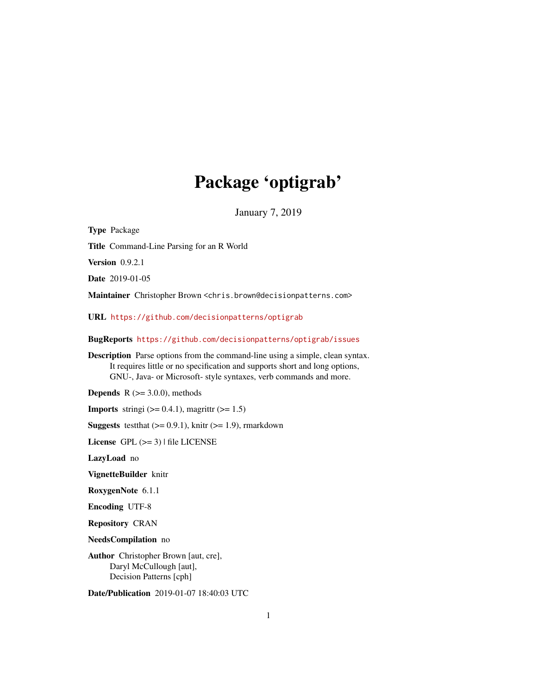# Package 'optigrab'

January 7, 2019

<span id="page-0-0"></span>

| <b>Type Package</b>                                                                                                                                                                                                                      |
|------------------------------------------------------------------------------------------------------------------------------------------------------------------------------------------------------------------------------------------|
| Title Command-Line Parsing for an R World                                                                                                                                                                                                |
| <b>Version</b> 0.9.2.1                                                                                                                                                                                                                   |
| Date 2019-01-05                                                                                                                                                                                                                          |
| Maintainer Christopher Brown <chris.brown@decisionpatterns.com></chris.brown@decisionpatterns.com>                                                                                                                                       |
| URL https://github.com/decisionpatterns/optigrab                                                                                                                                                                                         |
| BugReports https://github.com/decisionpatterns/optigrab/issues                                                                                                                                                                           |
| <b>Description</b> Parse options from the command-line using a simple, clean syntax.<br>It requires little or no specification and supports short and long options,<br>GNU-, Java- or Microsoft- style syntaxes, verb commands and more. |
| <b>Depends</b> $R$ ( $>=$ 3.0.0), methods                                                                                                                                                                                                |
| <b>Imports</b> stringi $(>= 0.4.1)$ , magnittr $(>= 1.5)$                                                                                                                                                                                |
| <b>Suggests</b> test that $(>= 0.9.1)$ , knitr $(>= 1.9)$ , rmarkdown                                                                                                                                                                    |
| License $GPL (= 3)$   file LICENSE                                                                                                                                                                                                       |
| LazyLoad no                                                                                                                                                                                                                              |
| VignetteBuilder knitr                                                                                                                                                                                                                    |
| RoxygenNote 6.1.1                                                                                                                                                                                                                        |
| <b>Encoding UTF-8</b>                                                                                                                                                                                                                    |
| <b>Repository CRAN</b>                                                                                                                                                                                                                   |
| NeedsCompilation no                                                                                                                                                                                                                      |
| Author Christopher Brown [aut, cre],<br>Daryl McCullough [aut],<br>Decision Patterns [cph]                                                                                                                                               |

Date/Publication 2019-01-07 18:40:03 UTC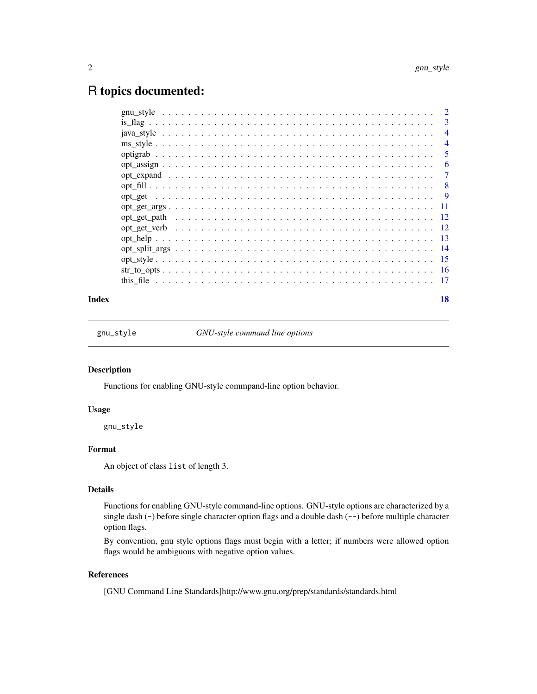## <span id="page-1-0"></span>R topics documented:

| $\mathcal{D}_{\mathcal{L}}$ |
|-----------------------------|
| 3                           |
| $\overline{\mathcal{A}}$    |
| $\overline{4}$              |
| 5                           |
| 6                           |
| 7                           |
| 8                           |
| <b>9</b>                    |
|                             |
|                             |
| - 12                        |
| -13                         |
|                             |
|                             |
|                             |
|                             |
|                             |

#### **Index** 2008 **[18](#page-17-0)**

<span id="page-1-1"></span>gnu\_style *GNU-style command line options*

#### Description

Functions for enabling GNU-style commpand-line option behavior.

## Usage

gnu\_style

## Format

An object of class list of length 3.

## Details

Functions for enabling GNU-style command-line options. GNU-style options are characterized by a single dash (-) before single character option flags and a double dash (--) before multiple character option flags.

By convention, gnu style options flags must begin with a letter; if numbers were allowed option flags would be ambiguous with negative option values.

## References

[GNU Command Line Standards]http://www.gnu.org/prep/standards/standards.html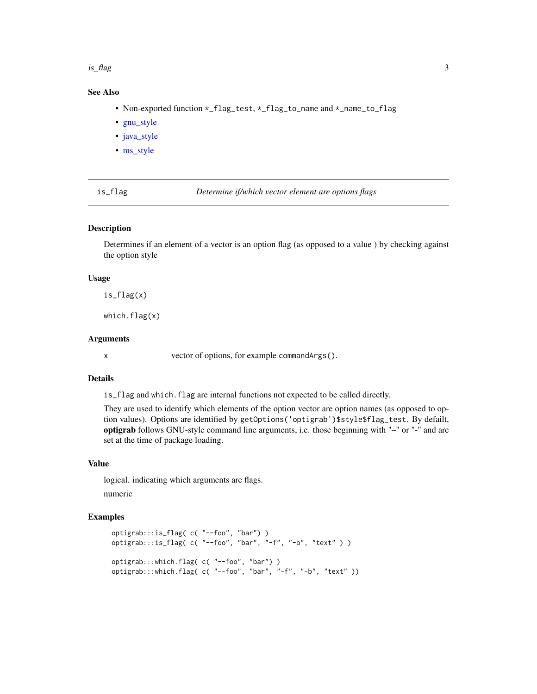#### <span id="page-2-0"></span>is\_flag 3

## See Also

- Non-exported function  $\star$ \_flag\_test,  $\star$ \_flag\_to\_name and  $\star$ \_name\_to\_flag
- [gnu\\_style](#page-1-1)
- [java\\_style](#page-3-1)
- [ms\\_style](#page-3-2)

is\_flag *Determine if/which vector element are options flags*

#### Description

Determines if an element of a vector is an option flag (as opposed to a value ) by checking against the option style

#### Usage

is\_flag(x)

which.flag(x)

#### Arguments

x vector of options, for example commandArgs().

## Details

is\_flag and which.flag are internal functions not expected to be called directly.

They are used to identify which elements of the option vector are option names (as opposed to option values). Options are identified by getOptions('optigrab')\$style\$flag\_test. By defailt, optigrab follows GNU-style command line arguments, i.e. those beginning with "–" or "-" and are set at the time of package loading.

#### Value

logical. indicating which arguments are flags.

numeric

```
optigrab:::is_flag( c( "--foo", "bar") )
optigrab:::is_flag( c( "--foo", "bar", "-f", "-b", "text" ) )
optigrab:::which.flag( c( "--foo", "bar") )
optigrab:::which.flag( c( "--foo", "bar", "-f", "-b", "text" ))
```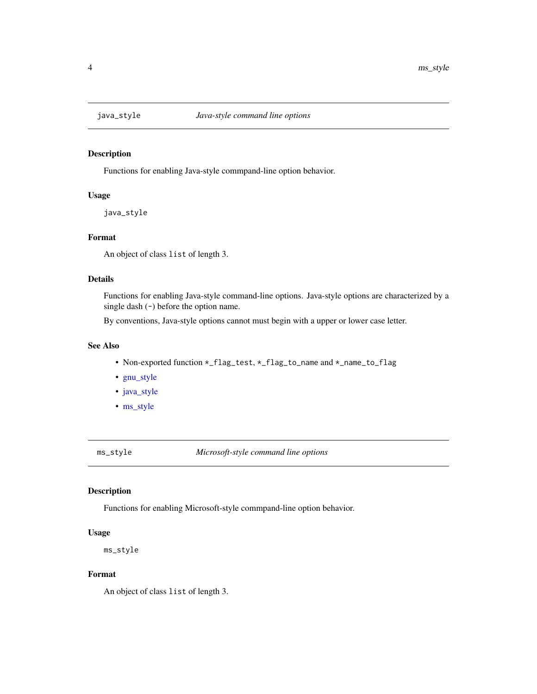<span id="page-3-1"></span><span id="page-3-0"></span>

Functions for enabling Java-style commpand-line option behavior.

#### Usage

java\_style

## Format

An object of class list of length 3.

## Details

Functions for enabling Java-style command-line options. Java-style options are characterized by a single dash  $(-)$  before the option name.

By conventions, Java-style options cannot must begin with a upper or lower case letter.

## See Also

- Non-exported function \*\_flag\_test, \*\_flag\_to\_name and \*\_name\_to\_flag
- [gnu\\_style](#page-1-1)
- [java\\_style](#page-3-1)
- [ms\\_style](#page-3-2)

<span id="page-3-2"></span>ms\_style *Microsoft-style command line options*

## Description

Functions for enabling Microsoft-style commpand-line option behavior.

#### Usage

```
ms_style
```
## Format

An object of class list of length 3.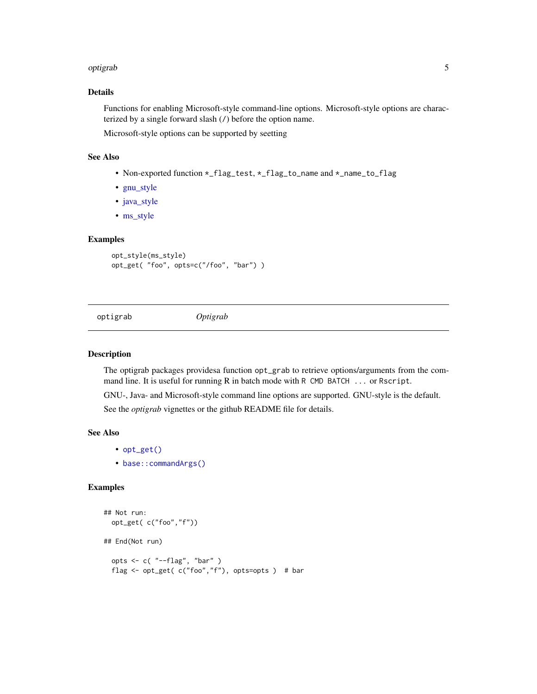#### <span id="page-4-0"></span>optigrab 5

## Details

Functions for enabling Microsoft-style command-line options. Microsoft-style options are characterized by a single forward slash (/) before the option name.

Microsoft-style options can be supported by seetting

#### See Also

- Non-exported function \*\_flag\_test, \*\_flag\_to\_name and \*\_name\_to\_flag
- [gnu\\_style](#page-1-1)
- [java\\_style](#page-3-1)
- [ms\\_style](#page-3-2)

#### Examples

```
opt_style(ms_style)
opt_get( "foo", opts=c("/foo", "bar") )
```
optigrab *Optigrab*

#### Description

The optigrab packages providesa function opt\_grab to retrieve options/arguments from the command line. It is useful for running R in batch mode with R CMD BATCH ... or Rscript.

GNU-, Java- and Microsoft-style command line options are supported. GNU-style is the default. See the *optigrab* vignettes or the github README file for details.

## See Also

- [opt\\_get\(\)](#page-8-1)
- [base::commandArgs\(\)](#page-0-0)

```
## Not run:
 opt_get( c("foo","f"))
## End(Not run)
 opts <- c( "--flag", "bar" )
 flag <- opt_get( c("foo","f"), opts=opts ) # bar
```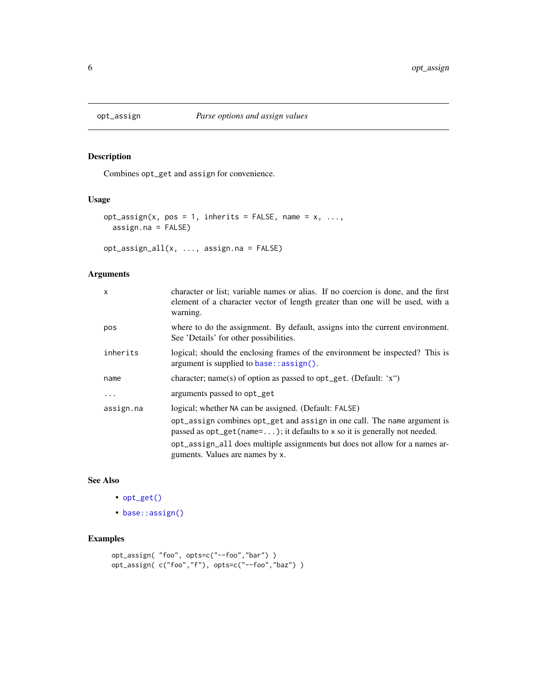<span id="page-5-0"></span>

Combines opt\_get and assign for convenience.

## Usage

```
opt\_assign(x, pos = 1, inherits = FALSE, name = x, ...,assign.na = FALSE)
```
opt\_assign\_all(x, ..., assign.na = FALSE)

## Arguments

| X         | character or list; variable names or alias. If no coercion is done, and the first<br>element of a character vector of length greater than one will be used, with a<br>warning. |
|-----------|--------------------------------------------------------------------------------------------------------------------------------------------------------------------------------|
| pos       | where to do the assignment. By default, assigns into the current environment.<br>See 'Details' for other possibilities.                                                        |
| inherits  | logical; should the enclosing frames of the environment be inspected? This is<br>$argument$ is supplied to base:: $assign()$ .                                                 |
| name      | character; name(s) of option as passed to $opt\_get$ . (Default: 'x")                                                                                                          |
| $\ddotsc$ | arguments passed to opt_get                                                                                                                                                    |
| assign.na | logical; whether NA can be assigned. (Default: FALSE)                                                                                                                          |
|           | opt_assign combines opt_get and assign in one call. The name argument is<br>passed as $opt\_get(name=);$ it defaults to x so it is generally not needed.                       |
|           | opt_assign_all does multiple assignments but does not allow for a names ar-<br>guments. Values are names by x.                                                                 |

## See Also

- [opt\\_get\(\)](#page-8-1)
- [base::assign\(\)](#page-0-0)

```
opt_assign( "foo", opts=c("--foo","bar") )
opt_assign( c("foo","f"), opts=c("--foo","baz") )
```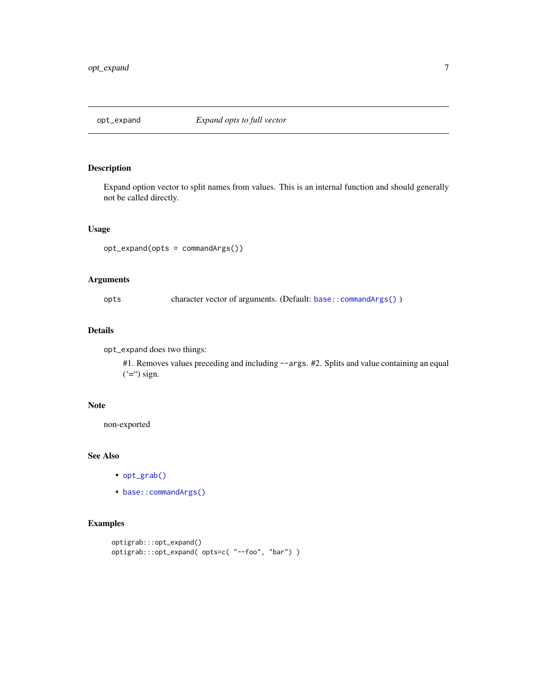<span id="page-6-0"></span>

Expand option vector to split names from values. This is an internal function and should generally not be called directly.

#### Usage

```
opt_expand(opts = commandArgs())
```
## Arguments

opts character vector of arguments. (Default: [base::commandArgs\(\)](#page-0-0) )

## Details

opt\_expand does two things:

#1. Removes values preceding and including --args. #2. Splits and value containing an equal  $(*)$  sign.

#### Note

non-exported

#### See Also

- [opt\\_grab\(\)](#page-8-2)
- [base::commandArgs\(\)](#page-0-0)

```
optigrab:::opt_expand()
optigrab:::opt_expand( opts=c( "--foo", "bar") )
```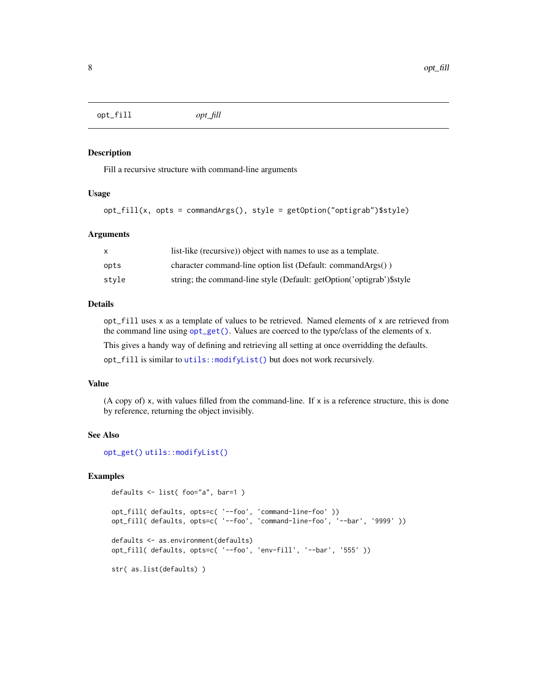<span id="page-7-0"></span>opt\_fill *opt\_fill*

#### Description

Fill a recursive structure with command-line arguments

#### Usage

```
opt_fill(x, opts = commandArgs(), style = getOption("optigrab")$style)
```
#### Arguments

|       | list-like (recursive)) object with names to use as a template.         |
|-------|------------------------------------------------------------------------|
| opts  | character command-line option list (Default: command $\text{Arg}(y)$ ) |
| stvle | string; the command-line style (Default: getOption('optigrab')\$ style |

## Details

opt\_fill uses x as a template of values to be retrieved. Named elements of x are retrieved from the command line using [opt\\_get\(\)](#page-8-1). Values are coerced to the type/class of the elements of x.

This gives a handy way of defining and retrieving all setting at once overridding the defaults.

opt\_fill is similar to [utils::modifyList\(\)](#page-0-0) but does not work recursively.

#### Value

(A copy of) x, with values filled from the command-line. If  $x$  is a reference structure, this is done by reference, returning the object invisibly.

#### See Also

[opt\\_get\(\)](#page-8-1) [utils::modifyList\(\)](#page-0-0)

```
defaults <- list( foo="a", bar=1 )
opt_fill( defaults, opts=c( '--foo', 'command-line-foo' ))
opt_fill( defaults, opts=c( '--foo', 'command-line-foo', '--bar', '9999' ))
defaults <- as.environment(defaults)
opt_fill( defaults, opts=c( '--foo', 'env-fill', '--bar', '555' ))
str( as.list(defaults) )
```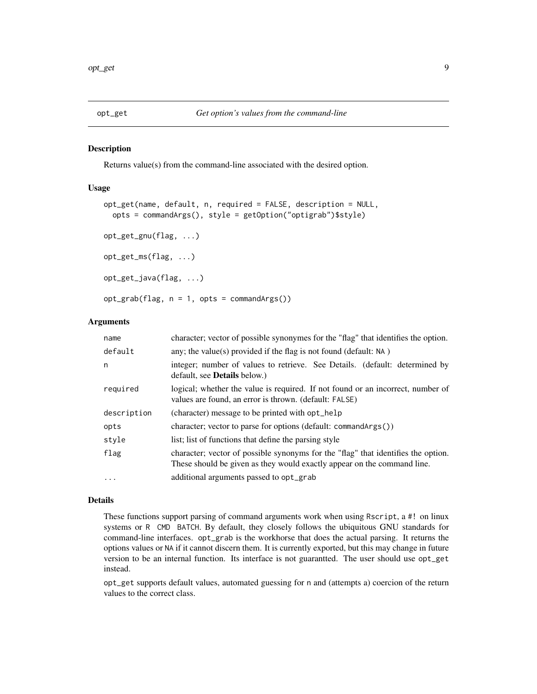<span id="page-8-2"></span><span id="page-8-1"></span><span id="page-8-0"></span>

Returns value(s) from the command-line associated with the desired option.

## Usage

```
opt_get(name, default, n, required = FALSE, description = NULL,
  opts = commandArgs(), style = getOption("optigrab")$style)
opt_get_gnu(flag, ...)
opt_get_ms(flag, ...)
opt_get_java(flag, ...)
opt_grab(flag, n = 1, opts = commandArgs())
```
#### Arguments

| name        | character; vector of possible synonymes for the "flag" that identifies the option.                                                                           |
|-------------|--------------------------------------------------------------------------------------------------------------------------------------------------------------|
| default     | any; the value(s) provided if the flag is not found (default: $NA$ )                                                                                         |
| n           | integer; number of values to retrieve. See Details. (default: determined by<br>default, see <b>Details</b> below.)                                           |
| required    | logical; whether the value is required. If not found or an incorrect, number of<br>values are found, an error is thrown. (default: FALSE)                    |
| description | (character) message to be printed with opt_help                                                                                                              |
| opts        | character; vector to parse for options (default: commandArgs())                                                                                              |
| style       | list; list of functions that define the parsing style                                                                                                        |
| flag        | character; vector of possible synonyms for the "flag" that identifies the option.<br>These should be given as they would exactly appear on the command line. |
| $\cdots$    | additional arguments passed to opt_grab                                                                                                                      |

#### Details

These functions support parsing of command arguments work when using Rscript, a #! on linux systems or R CMD BATCH. By default, they closely follows the ubiquitous GNU standards for command-line interfaces. opt\_grab is the workhorse that does the actual parsing. It returns the options values or NA if it cannot discern them. It is currently exported, but this may change in future version to be an internal function. Its interface is not guarantted. The user should use opt\_get instead.

opt\_get supports default values, automated guessing for n and (attempts a) coercion of the return values to the correct class.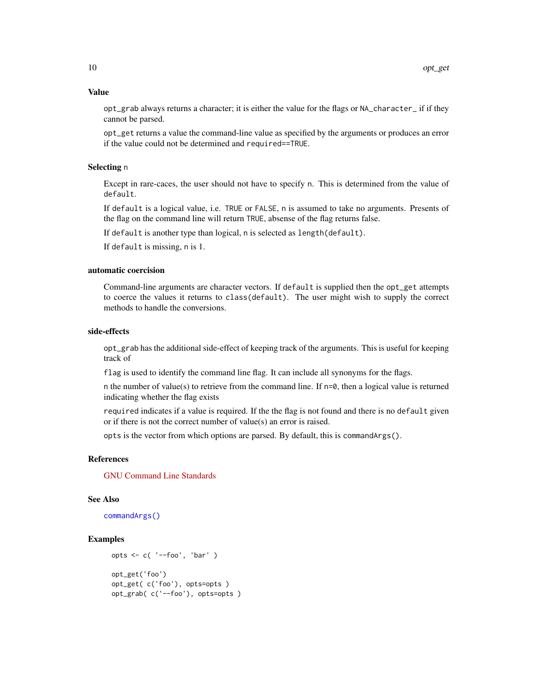#### <span id="page-9-0"></span>Value

opt\_grab always returns a character; it is either the value for the flags or NA\_character\_ if if they cannot be parsed.

opt\_get returns a value the command-line value as specified by the arguments or produces an error if the value could not be determined and required==TRUE.

## Selecting n

Except in rare-caces, the user should not have to specify n. This is determined from the value of default.

If default is a logical value, i.e. TRUE or FALSE, n is assumed to take no arguments. Presents of the flag on the command line will return TRUE, absense of the flag returns false.

If default is another type than logical, n is selected as length(default).

If default is missing, n is 1.

#### automatic coercision

Command-line arguments are character vectors. If default is supplied then the opt\_get attempts to coerce the values it returns to class(default). The user might wish to supply the correct methods to handle the conversions.

## side-effects

opt\_grab has the additional side-effect of keeping track of the arguments. This is useful for keeping track of

flag is used to identify the command line flag. It can include all synonyms for the flags.

n the number of value(s) to retrieve from the command line. If  $n=0$ , then a logical value is returned indicating whether the flag exists

required indicates if a value is required. If the the flag is not found and there is no default given or if there is not the correct number of value(s) an error is raised.

opts is the vector from which options are parsed. By default, this is commandArgs().

#### References

[GNU Command Line Standards](http://www.gnu.org/prep/standards/standards.html)

#### See Also

[commandArgs\(\)](#page-0-0)

```
opts <- c( '--foo', 'bar' )
opt_get('foo')
opt_get( c('foo'), opts=opts )
opt_grab( c('--foo'), opts=opts )
```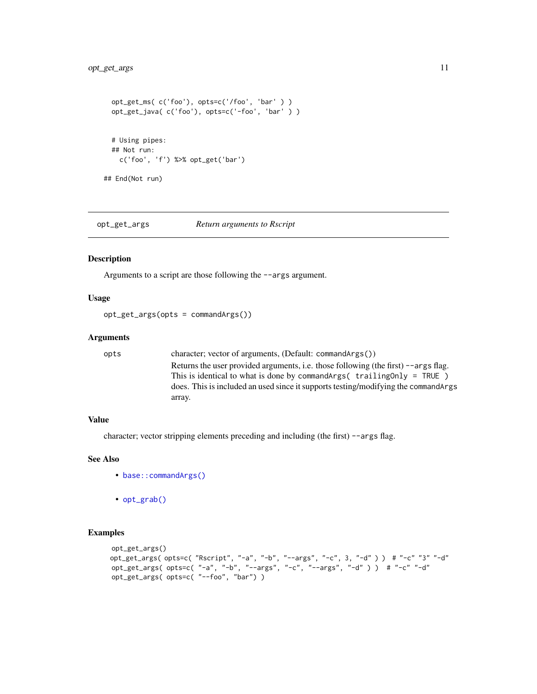```
opt_get_ms( c('foo'), opts=c('/foo', 'bar' ) )
 opt_get_java( c('foo'), opts=c('-foo', 'bar' ) )
 # Using pipes:
 ## Not run:
   c('foo', 'f') %>% opt_get('bar')
## End(Not run)
```
opt\_get\_args *Return arguments to Rscript*

#### Description

Arguments to a script are those following the --args argument.

#### Usage

opt\_get\_args(opts = commandArgs())

#### Arguments

opts character; vector of arguments, (Default: commandArgs()) Returns the user provided arguments, i.e. those following (the first) --args flag. This is identical to what is done by commandArgs( trailingOnly = TRUE ) does. This is included an used since it supports testing/modifying the commandArgs array.

#### Value

character; vector stripping elements preceding and including (the first) --args flag.

## See Also

- [base::commandArgs\(\)](#page-0-0)
- [opt\\_grab\(\)](#page-8-2)

```
opt_get_args()
opt_get_args( opts=c( "Rscript", "-a", "-b", "--args", "-c", 3, "-d" ) ) # "-c" "3" "-d"
opt_get_args( opts=c( "-a", "-b", "--args", "-c", "--args", "-d" ) ) # "-c" "-d"
opt_get_args( opts=c( "--foo", "bar") )
```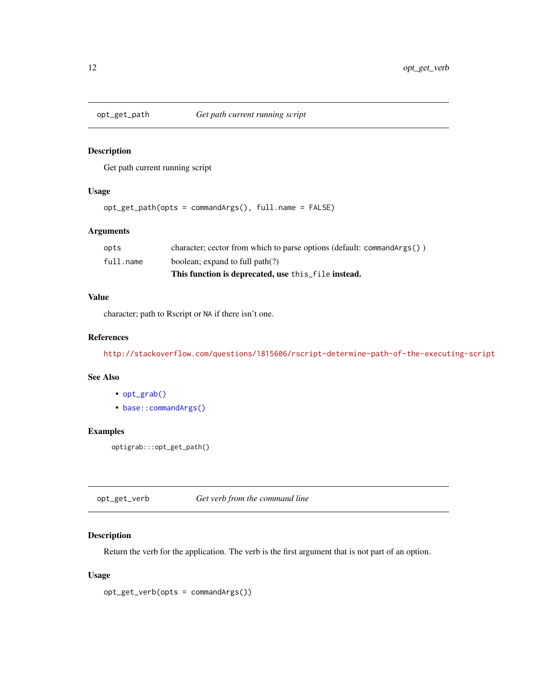<span id="page-11-0"></span>

Get path current running script

## Usage

```
opt_get_path(opts = commandArgs(), full.name = FALSE)
```
## Arguments

|           | This function is deprecated, use this file instead.                        |
|-----------|----------------------------------------------------------------------------|
| full.name | boolean; expand to full path(?)                                            |
| opts      | character; cector from which to parse options (default: command $Arg(s)$ ) |

## Value

character; path to Rscript or NA if there isn't one.

## References

<http://stackoverflow.com/questions/1815606/rscript-determine-path-of-the-executing-script>

#### See Also

- [opt\\_grab\(\)](#page-8-2)
- [base::commandArgs\(\)](#page-0-0)

## Examples

optigrab:::opt\_get\_path()

opt\_get\_verb *Get verb from the command line*

### Description

Return the verb for the application. The verb is the first argument that is not part of an option.

#### Usage

```
opt_get_verb(opts = commandArgs())
```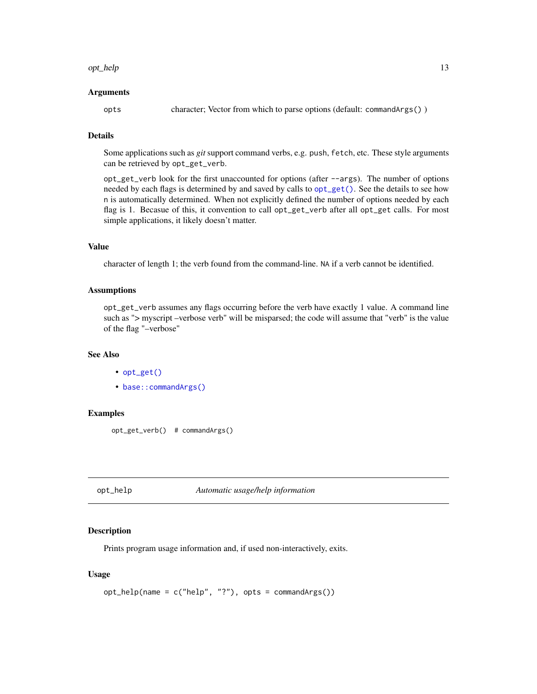#### <span id="page-12-0"></span>opt\_help 13

#### Arguments

opts character; Vector from which to parse options (default: commandArgs() )

## Details

Some applications such as *git* support command verbs, e.g. push, fetch, etc. These style arguments can be retrieved by opt\_get\_verb.

opt\_get\_verb look for the first unaccounted for options (after --args). The number of options needed by each flags is determined by and saved by calls to [opt\\_get\(\)](#page-8-1). See the details to see how n is automatically determined. When not explicitly defined the number of options needed by each flag is 1. Becasue of this, it convention to call opt\_get\_verb after all opt\_get calls. For most simple applications, it likely doesn't matter.

#### Value

character of length 1; the verb found from the command-line. NA if a verb cannot be identified.

#### **Assumptions**

opt\_get\_verb assumes any flags occurring before the verb have exactly 1 value. A command line such as "> myscript –verbose verb" will be misparsed; the code will assume that "verb" is the value of the flag "–verbose"

#### See Also

- [opt\\_get\(\)](#page-8-1)
- base:: commandArgs()

#### Examples

```
opt_get_verb() # commandArgs()
```
opt\_help *Automatic usage/help information*

#### **Description**

Prints program usage information and, if used non-interactively, exits.

#### Usage

```
opt_help(name = c("help", "?"), opts = commandArgs())
```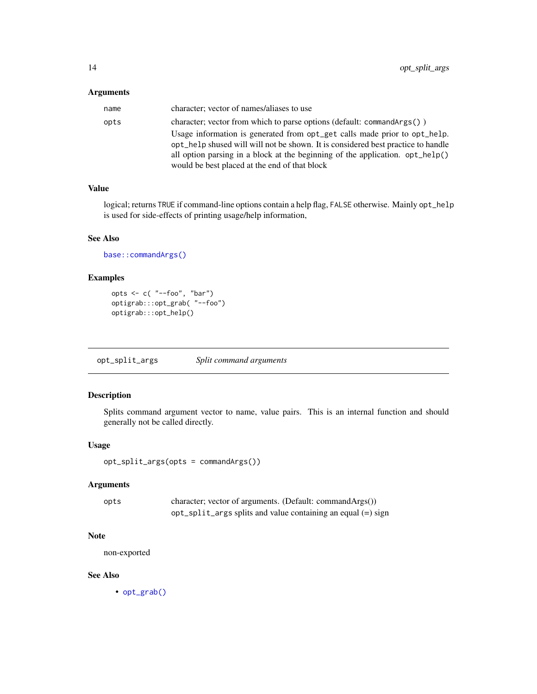## <span id="page-13-0"></span>Arguments

| name | character; vector of names/aliases to use                                                |
|------|------------------------------------------------------------------------------------------|
| opts | character; vector from which to parse options (default: command $\text{Arg}(t)$ )        |
|      | Usage information is generated from opt_get calls made prior to opt_help.                |
|      | opt_help shused will will not be shown. It is considered best practice to handle         |
|      | all option parsing in a block at the beginning of the application. $opt_{\text{help}}()$ |
|      | would be best placed at the end of that block                                            |

## Value

logical; returns TRUE if command-line options contain a help flag, FALSE otherwise. Mainly opt\_help is used for side-effects of printing usage/help information,

### See Also

[base::commandArgs\(\)](#page-0-0)

## Examples

```
opts \leq c( "--foo", "bar")
optigrab:::opt_grab( "--foo")
optigrab:::opt_help()
```
opt\_split\_args *Split command arguments*

## Description

Splits command argument vector to name, value pairs. This is an internal function and should generally not be called directly.

## Usage

```
opt_split_args(opts = commandArgs())
```
## Arguments

| opts | character; vector of arguments. (Default: commandArgs())           |
|------|--------------------------------------------------------------------|
|      | $opt\_split\_args$ splits and value containing an equal $(=)$ sign |

## Note

non-exported

## See Also

• [opt\\_grab\(\)](#page-8-2)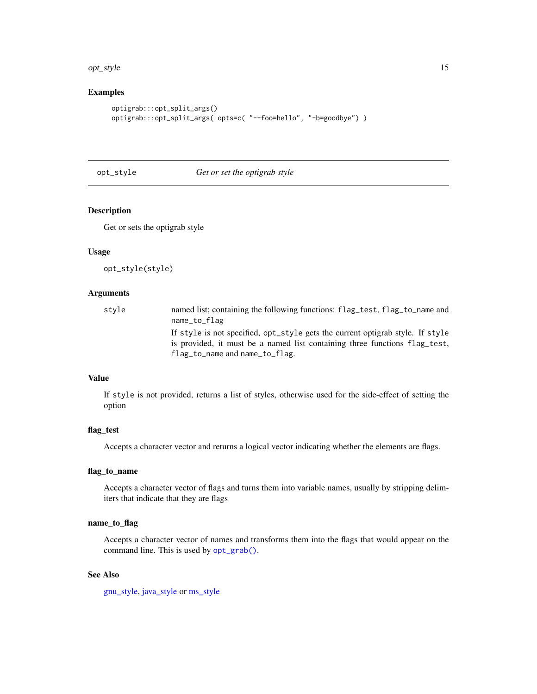#### <span id="page-14-0"></span>opt\_style 15

## Examples

```
optigrab:::opt_split_args()
optigrab:::opt_split_args( opts=c( "--foo=hello", "-b=goodbye") )
```
#### opt\_style *Get or set the optigrab style*

#### Description

Get or sets the optigrab style

#### Usage

opt\_style(style)

#### **Arguments**

| style | named list; containing the following functions: flag_test, flag_to_name and    |
|-------|--------------------------------------------------------------------------------|
|       | name_to_flag                                                                   |
|       | If style is not specified, opt_style gets the current optigrab style. If style |
|       | is provided, it must be a named list containing three functions flag test,     |
|       | flag_to_name and name_to_flag.                                                 |

## Value

If style is not provided, returns a list of styles, otherwise used for the side-effect of setting the option

#### flag\_test

Accepts a character vector and returns a logical vector indicating whether the elements are flags.

#### flag\_to\_name

Accepts a character vector of flags and turns them into variable names, usually by stripping delimiters that indicate that they are flags

#### name\_to\_flag

Accepts a character vector of names and transforms them into the flags that would appear on the command line. This is used by [opt\\_grab\(\)](#page-8-2).

## See Also

[gnu\\_style,](#page-1-1) [java\\_style](#page-3-1) or [ms\\_style](#page-3-2)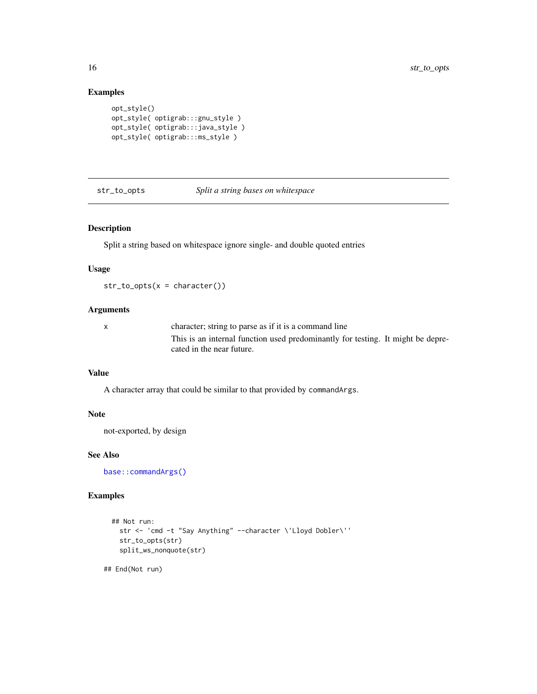## Examples

```
opt_style()
opt_style( optigrab:::gnu_style )
opt_style( optigrab:::java_style )
opt_style( optigrab:::ms_style )
```
#### str\_to\_opts *Split a string bases on whitespace*

### Description

Split a string based on whitespace ignore single- and double quoted entries

#### Usage

 $str\_to\_opts(x = character())$ 

#### Arguments

x character; string to parse as if it is a command line This is an internal function used predominantly for testing. It might be deprecated in the near future.

#### Value

A character array that could be similar to that provided by commandArgs.

#### Note

not-exported, by design

#### See Also

[base::commandArgs\(\)](#page-0-0)

#### Examples

```
## Not run:
  str <- 'cmd -t "Say Anything" --character \'Lloyd Dobler\''
  str_to_opts(str)
  split_ws_nonquote(str)
```
## End(Not run)

<span id="page-15-0"></span>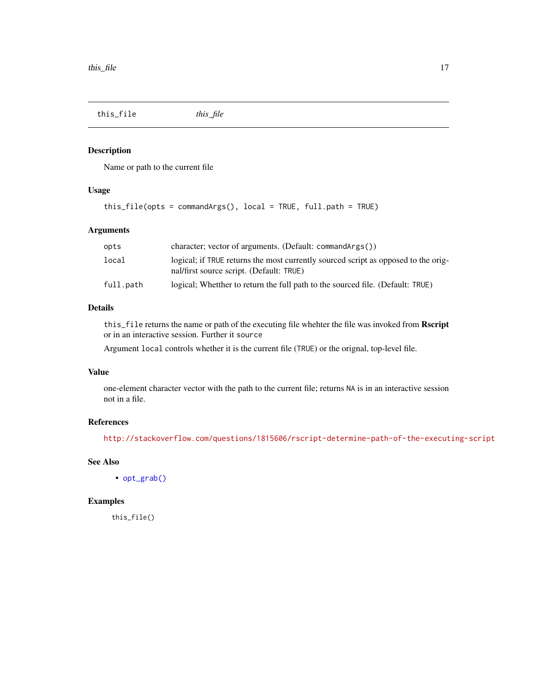<span id="page-16-0"></span>this\_file *this\_file*

## Description

Name or path to the current file

## Usage

```
this_file(opts = commandArgs(), local = TRUE, full.path = TRUE)
```
## Arguments

| opts      | character; vector of arguments. (Default: command $Arg(s()$ )                                                                  |
|-----------|--------------------------------------------------------------------------------------------------------------------------------|
| local     | logical; if TRUE returns the most currently sourced script as opposed to the orig-<br>nal/first source script. (Default: TRUE) |
| full.path | logical; Whetther to return the full path to the sourced file. (Default: TRUE)                                                 |

## Details

this\_file returns the name or path of the executing file whehter the file was invoked from Rscript or in an interactive session. Further it source

Argument local controls whether it is the current file (TRUE) or the orignal, top-level file.

## Value

one-element character vector with the path to the current file; returns NA is in an interactive session not in a file.

## References

<http://stackoverflow.com/questions/1815606/rscript-determine-path-of-the-executing-script>

## See Also

• [opt\\_grab\(\)](#page-8-2)

## Examples

this\_file()